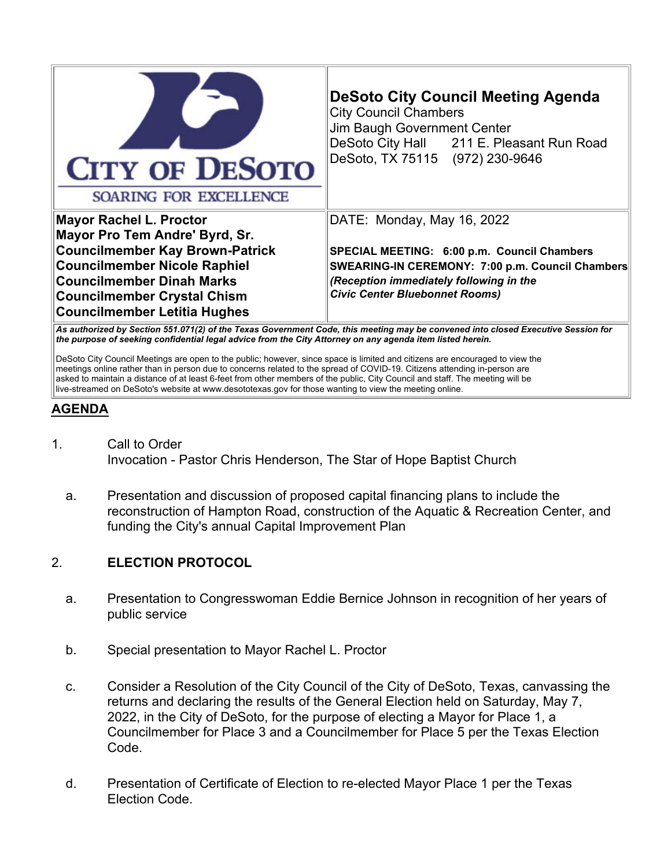| <b>CITY OF DESOTO</b><br>SOARING FOR EXCELLENCE                                                                                                                                                                                                                    | <b>DeSoto City Council Meeting Agenda</b><br><b>City Council Chambers</b><br>Jim Baugh Government Center<br>DeSoto City Hall 211 E. Pleasant Run Road<br>DeSoto, TX 75115 (972) 230-9646                          |
|--------------------------------------------------------------------------------------------------------------------------------------------------------------------------------------------------------------------------------------------------------------------|-------------------------------------------------------------------------------------------------------------------------------------------------------------------------------------------------------------------|
| <b>Mayor Rachel L. Proctor</b><br>Mayor Pro Tem Andre' Byrd, Sr.<br><b>Councilmember Kay Brown-Patrick</b><br><b>Councilmember Nicole Raphiel</b><br><b>Councilmember Dinah Marks</b><br><b>Councilmember Crystal Chism</b><br><b>Councilmember Letitia Hughes</b> | DATE: Monday, May 16, 2022<br>SPECIAL MEETING: 6:00 p.m. Council Chambers<br>SWEARING-IN CEREMONY: 7:00 p.m. Council Chambers<br>(Reception immediately following in the<br><b>Civic Center Bluebonnet Rooms)</b> |

*As authorized by Section 551.071(2) of the Texas Government Code, this meeting may be convened into closed Executive Session for the purpose of seeking confidential legal advice from the City Attorney on any agenda item listed herein.*

DeSoto City Council Meetings are open to the public; however, since space is limited and citizens are encouraged to view the meetings online rather than in person due to concerns related to the spread of COVID-19. Citizens attending in-person are asked to maintain a distance of at least 6-feet from other members of the public, City Council and staff. The meeting will be live-streamed on DeSoto's website at www.desototexas.gov for those wanting to view the meeting online.

## **AGENDA**

- 1. Call to Order Invocation - Pastor Chris Henderson, The Star of Hope Baptist Church
	- a. Presentation and discussion of proposed capital financing plans to include the reconstruction of Hampton Road, construction of the Aquatic & Recreation Center, and funding the City's annual Capital Improvement Plan

## 2. **ELECTION PROTOCOL**

- a. Presentation to Congresswoman Eddie Bernice Johnson in recognition of her years of public service
- b. Special presentation to Mayor Rachel L. Proctor
- c. Consider a Resolution of the City Council of the City of DeSoto, Texas, canvassing the returns and declaring the results of the General Election held on Saturday, May 7, 2022, in the City of DeSoto, for the purpose of electing a Mayor for Place 1, a Councilmember for Place 3 and a Councilmember for Place 5 per the Texas Election Code.
- d. Presentation of Certificate of Election to re-elected Mayor Place 1 per the Texas Election Code.